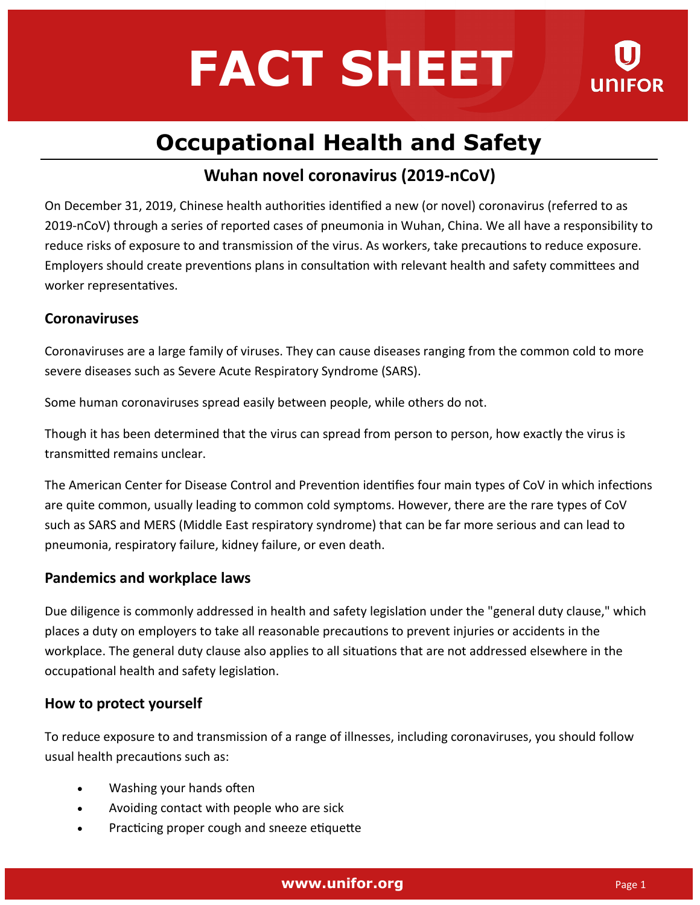# **FACT SHEET**



## **Occupational Health and Safety**

### **Wuhan novel coronavirus (2019-nCoV)**

On December 31, 2019, Chinese health authorities identified a new (or novel) coronavirus (referred to as 2019-nCoV) through a series of reported cases of pneumonia in Wuhan, China. We all have a responsibility to reduce risks of exposure to and transmission of the virus. As workers, take precautions to reduce exposure. Employers should create preventions plans in consultation with relevant health and safety committees and worker representatives.

#### **Coronaviruses**

Coronaviruses are a large family of viruses. They can cause diseases ranging from the common cold to more severe diseases such as Severe Acute Respiratory Syndrome (SARS).

Some human coronaviruses spread easily between people, while others do not.

Though it has been determined that the virus can spread from person to person, how exactly the virus is transmitted remains unclear.

The American Center for Disease Control and Prevention identifies four main types of CoV in which infections are quite common, usually leading to common cold symptoms. However, there are the rare types of CoV such as SARS and MERS (Middle East respiratory syndrome) that can be far more serious and can lead to pneumonia, respiratory failure, kidney failure, or even death.

#### **Pandemics and workplace laws**

Due diligence is commonly addressed in health and safety legislation under the "general duty clause," which places a duty on employers to take all reasonable precautions to prevent injuries or accidents in the workplace. The general duty clause also applies to all situations that are not addressed elsewhere in the occupational health and safety legislation.

#### **How to protect yourself**

To reduce exposure to and transmission of a range of illnesses, including coronaviruses, you should follow usual health precautions such as:

- Washing your hands often
- Avoiding contact with people who are sick
- Practicing proper cough and sneeze etiquette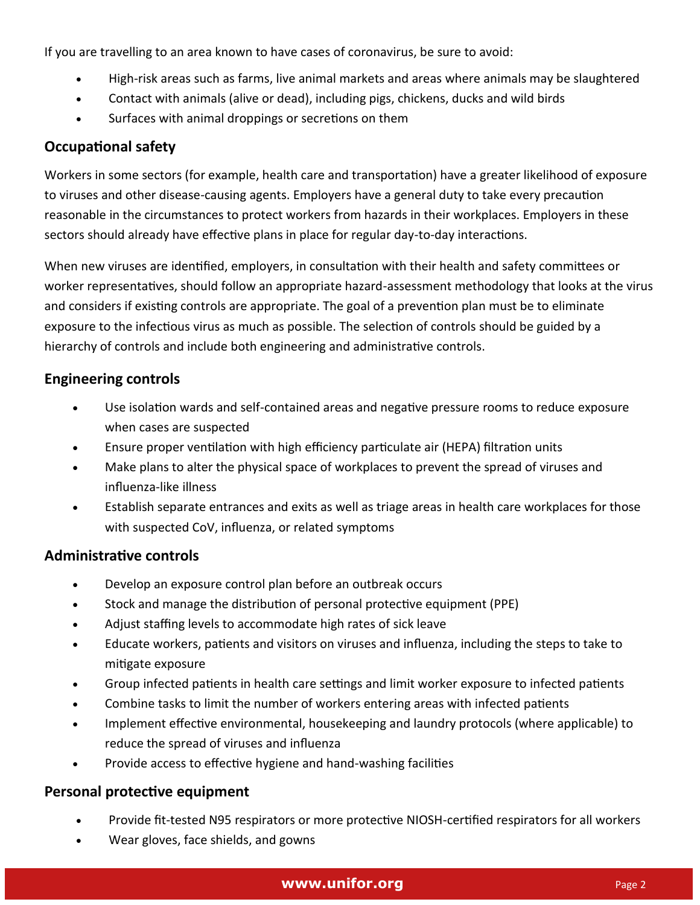If you are travelling to an area known to have cases of coronavirus, be sure to avoid:

- High-risk areas such as farms, live animal markets and areas where animals may be slaughtered
- Contact with animals (alive or dead), including pigs, chickens, ducks and wild birds
- Surfaces with animal droppings or secretions on them

#### **Occupational safety**

Workers in some sectors (for example, health care and transportation) have a greater likelihood of exposure to viruses and other disease-causing agents. Employers have a general duty to take every precaution reasonable in the circumstances to protect workers from hazards in their workplaces. Employers in these sectors should already have effective plans in place for regular day-to-day interactions.

When new viruses are identified, employers, in consultation with their health and safety committees or worker representatives, should follow an appropriate hazard-assessment methodology that looks at the virus and considers if existing controls are appropriate. The goal of a prevention plan must be to eliminate exposure to the infectious virus as much as possible. The selection of controls should be guided by a hierarchy of controls and include both engineering and administrative controls.

#### **Engineering controls**

- Use isolation wards and self-contained areas and negative pressure rooms to reduce exposure when cases are suspected
- Ensure proper ventilation with high efficiency particulate air (HEPA) filtration units
- Make plans to alter the physical space of workplaces to prevent the spread of viruses and influenza-like illness
- Establish separate entrances and exits as well as triage areas in health care workplaces for those with suspected CoV, influenza, or related symptoms

#### **Administrative controls**

- Develop an exposure control plan before an outbreak occurs
- Stock and manage the distribution of personal protective equipment (PPE)
- Adjust staffing levels to accommodate high rates of sick leave
- Educate workers, patients and visitors on viruses and influenza, including the steps to take to mitigate exposure
- Group infected patients in health care settings and limit worker exposure to infected patients
- Combine tasks to limit the number of workers entering areas with infected patients
- Implement effective environmental, housekeeping and laundry protocols (where applicable) to reduce the spread of viruses and influenza
- Provide access to effective hygiene and hand-washing facilities

#### **Personal protective equipment**

- Provide fit-tested N95 respirators or more protective NIOSH-certified respirators for all workers
- Wear gloves, face shields, and gowns